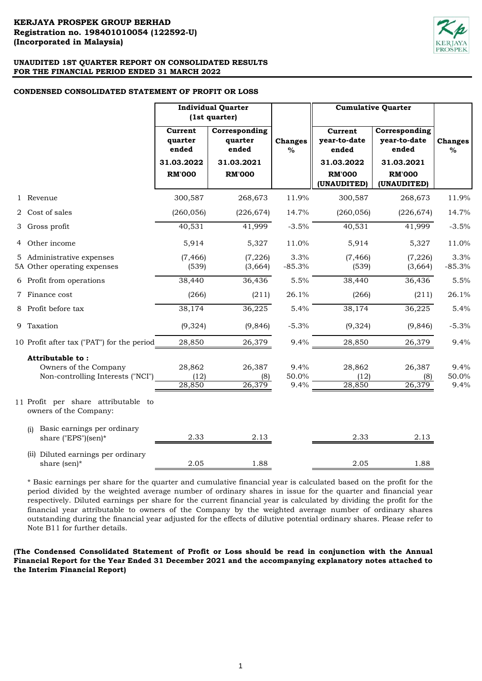### **CONDENSED CONSOLIDATED STATEMENT OF PROFIT OR LOSS**

|                                                                                | <b>Individual Quarter</b><br>(1st quarter)                 |                                                                  |                        | <b>Cumulative Quarter</b>                                                      |                                                                                      |                       |
|--------------------------------------------------------------------------------|------------------------------------------------------------|------------------------------------------------------------------|------------------------|--------------------------------------------------------------------------------|--------------------------------------------------------------------------------------|-----------------------|
|                                                                                | Current<br>quarter<br>ended<br>31.03.2022<br><b>RM'000</b> | Corresponding<br>quarter<br>ended<br>31.03.2021<br><b>RM'000</b> | <b>Changes</b><br>$\%$ | Current<br>year-to-date<br>ended<br>31.03.2022<br><b>RM'000</b><br>(UNAUDITED) | Corresponding<br>year-to-date<br>ended<br>31.03.2021<br><b>RM'000</b><br>(UNAUDITED) | <b>Changes</b><br>%   |
| 1 Revenue                                                                      | 300,587                                                    | 268,673                                                          | 11.9%                  | 300,587                                                                        | 268,673                                                                              | 11.9%                 |
| 2 Cost of sales                                                                | (260, 056)                                                 | (226, 674)                                                       | 14.7%                  | (260, 056)                                                                     | (226, 674)                                                                           | 14.7%                 |
| 3 Gross profit                                                                 | 40,531                                                     | 41,999                                                           | $-3.5%$                | 40,531                                                                         | 41,999                                                                               | $-3.5%$               |
| 4 Other income                                                                 | 5,914                                                      | 5,327                                                            | 11.0%                  | 5,914                                                                          | 5,327                                                                                | 11.0%                 |
| 5 Administrative expenses<br>5A Other operating expenses                       | (7, 466)<br>(539)                                          | (7, 226)<br>(3,664)                                              | 3.3%<br>$-85.3%$       | (7, 466)<br>(539)                                                              | (7, 226)<br>(3,664)                                                                  | 3.3%<br>$-85.3%$      |
| 6 Profit from operations                                                       | 38,440                                                     | 36,436                                                           | 5.5%                   | 38,440                                                                         | 36,436                                                                               | 5.5%                  |
| 7 Finance cost                                                                 | (266)                                                      | (211)                                                            | 26.1%                  | (266)                                                                          | (211)                                                                                | 26.1%                 |
| 8 Profit before tax                                                            | 38,174                                                     | 36,225                                                           | 5.4%                   | 38,174                                                                         | 36,225                                                                               | 5.4%                  |
| 9 Taxation                                                                     | (9,324)                                                    | (9, 846)                                                         | $-5.3%$                | (9,324)                                                                        | (9, 846)                                                                             | $-5.3%$               |
| 10 Profit after tax ("PAT") for the period                                     | 28,850                                                     | 26,379                                                           | 9.4%                   | 28,850                                                                         | 26,379                                                                               | 9.4%                  |
| Attributable to:<br>Owners of the Company<br>Non-controlling Interests ("NCI") | 28,862<br>(12)<br>28,850                                   | 26,387<br>(8)<br>26,379                                          | 9.4%<br>50.0%<br>9.4%  | 28,862<br>(12)<br>28,850                                                       | 26,387<br>(8)<br>26,379                                                              | 9.4%<br>50.0%<br>9.4% |
| 11 Profit per share attributable to<br>owners of the Company:                  |                                                            |                                                                  |                        |                                                                                |                                                                                      |                       |
| Basic earnings per ordinary<br>(i)<br>share ("EPS")(sen)*                      | 2.33                                                       | 2.13                                                             |                        | 2.33                                                                           | 2.13                                                                                 |                       |
| (ii) Diluted earnings per ordinary<br>share (sen)*                             | 2.05                                                       | 1.88                                                             |                        | 2.05                                                                           | 1.88                                                                                 |                       |

\* Basic earnings per share for the quarter and cumulative financial year is calculated based on the profit for the period divided by the weighted average number of ordinary shares in issue for the quarter and financial year respectively. Diluted earnings per share for the current financial year is calculated by dividing the profit for the financial year attributable to owners of the Company by the weighted average number of ordinary shares outstanding during the financial year adjusted for the effects of dilutive potential ordinary shares. Please refer to Note B11 for further details.

**(The Condensed Consolidated Statement of Profit or Loss should be read in conjunction with the Annual Financial Report for the Year Ended 31 December 2021 and the accompanying explanatory notes attached to the Interim Financial Report)**

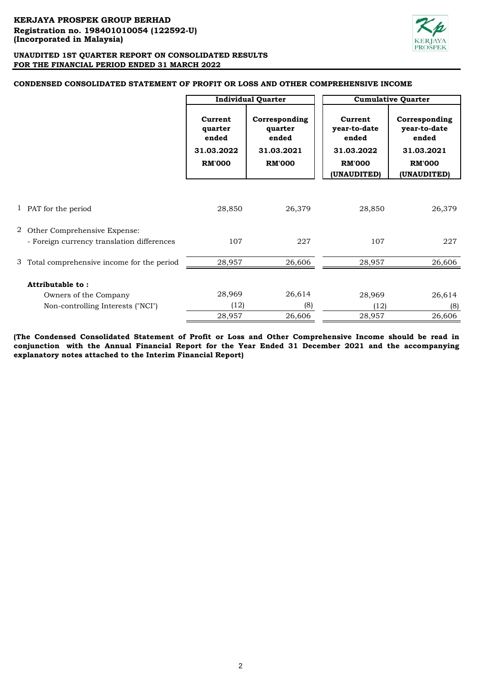

# **CONDENSED CONSOLIDATED STATEMENT OF PROFIT OR LOSS AND OTHER COMPREHENSIVE INCOME**

|                                                                              |                                                            | <b>Individual Quarter</b>                                        |                                                                                | <b>Cumulative Quarter</b>                                                            |
|------------------------------------------------------------------------------|------------------------------------------------------------|------------------------------------------------------------------|--------------------------------------------------------------------------------|--------------------------------------------------------------------------------------|
|                                                                              | Current<br>quarter<br>ended<br>31.03.2022<br><b>RM'000</b> | Corresponding<br>quarter<br>ended<br>31.03.2021<br><b>RM'000</b> | Current<br>year-to-date<br>ended<br>31.03.2022<br><b>RM'000</b><br>(UNAUDITED) | Corresponding<br>year-to-date<br>ended<br>31.03.2021<br><b>RM'000</b><br>(UNAUDITED) |
|                                                                              |                                                            |                                                                  |                                                                                |                                                                                      |
| 1 PAT for the period                                                         | 28,850                                                     | 26,379                                                           | 28,850                                                                         | 26,379                                                                               |
| 2 Other Comprehensive Expense:<br>- Foreign currency translation differences | 107                                                        | 227                                                              | 107                                                                            | 227                                                                                  |
| 3 Total comprehensive income for the period                                  | 28,957                                                     | 26,606                                                           | 28,957                                                                         | 26,606                                                                               |
| Attributable to:                                                             |                                                            |                                                                  |                                                                                |                                                                                      |
| Owners of the Company                                                        | 28,969                                                     | 26,614                                                           | 28,969                                                                         | 26,614                                                                               |
| Non-controlling Interests ("NCI")                                            | (12)                                                       | (8)                                                              | (12)                                                                           | (8)                                                                                  |
|                                                                              | 28,957                                                     | 26,606                                                           | 28,957                                                                         | 26,606                                                                               |

**(The Condensed Consolidated Statement of Profit or Loss and Other Comprehensive Income should be read in conjunction with the Annual Financial Report for the Year Ended 31 December 2021 and the accompanying explanatory notes attached to the Interim Financial Report)**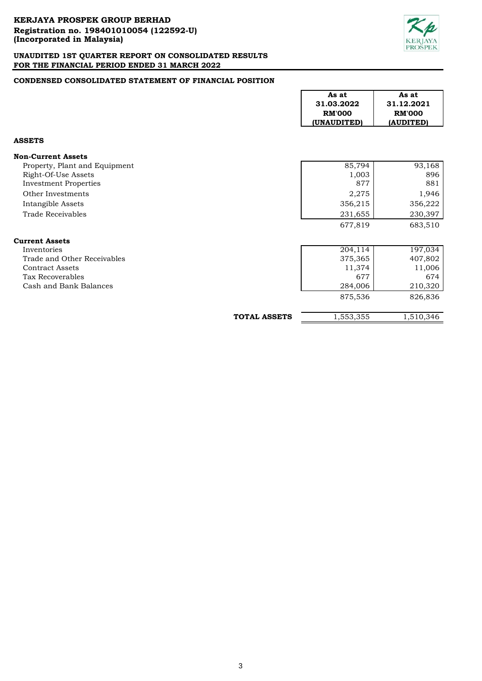

# **CONDENSED CONSOLIDATED STATEMENT OF FINANCIAL POSITION**

|                               |                     | As at<br>31.03.2022<br><b>RM'000</b><br>(UNAUDITED) | As at<br>31.12.2021<br><b>RM'000</b><br>(AUDITED) |
|-------------------------------|---------------------|-----------------------------------------------------|---------------------------------------------------|
| <b>ASSETS</b>                 |                     |                                                     |                                                   |
| <b>Non-Current Assets</b>     |                     |                                                     |                                                   |
| Property, Plant and Equipment |                     | 85,794                                              | 93,168                                            |
| Right-Of-Use Assets           |                     | 1,003                                               | 896                                               |
| <b>Investment Properties</b>  |                     | 877                                                 | 881                                               |
| Other Investments             |                     | 2,275                                               | 1,946                                             |
| Intangible Assets             |                     | 356,215                                             | 356,222                                           |
| <b>Trade Receivables</b>      |                     | 231,655                                             | 230,397                                           |
|                               |                     | 677,819                                             | 683,510                                           |
| <b>Current Assets</b>         |                     |                                                     |                                                   |
| Inventories                   |                     | 204,114                                             | 197,034                                           |
| Trade and Other Receivables   |                     | 375,365                                             | 407,802                                           |
| <b>Contract Assets</b>        |                     | 11,374                                              | 11,006                                            |
| Tax Recoverables              |                     | 677                                                 | 674                                               |
| Cash and Bank Balances        |                     | 284,006                                             | 210,320                                           |
|                               |                     | 875,536                                             | 826,836                                           |
|                               | <b>TOTAL ASSETS</b> | 1,553,355                                           | 1,510,346                                         |

 $\Gamma$ 

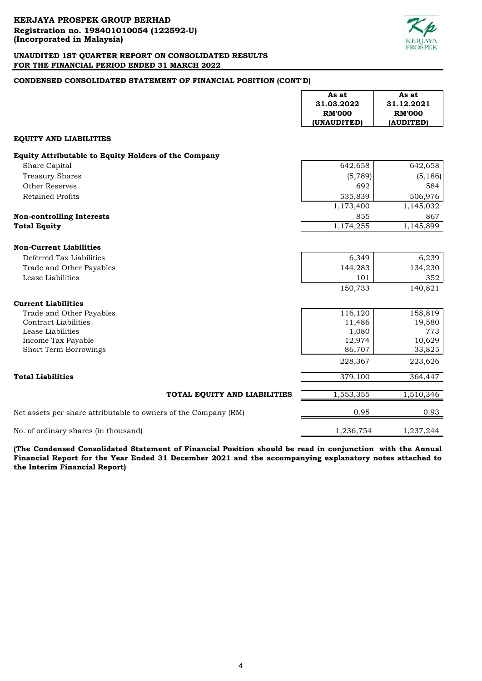

# **CONDENSED CONSOLIDATED STATEMENT OF FINANCIAL POSITION (CONT'D)**

|                                                                 | As at         | As at         |
|-----------------------------------------------------------------|---------------|---------------|
|                                                                 | 31.03.2022    | 31.12.2021    |
|                                                                 | <b>RM'000</b> | <b>RM'000</b> |
|                                                                 | (UNAUDITED)   | (AUDITED)     |
| <b>EQUITY AND LIABILITIES</b>                                   |               |               |
| Equity Attributable to Equity Holders of the Company            |               |               |
| Share Capital                                                   | 642,658       | 642,658       |
| <b>Treasury Shares</b>                                          | (5, 789)      | (5, 186)      |
| <b>Other Reserves</b>                                           | 692           | 584           |
| <b>Retained Profits</b>                                         | 535,839       | 506,976       |
|                                                                 | 1,173,400     | 1,145,032     |
| <b>Non-controlling Interests</b>                                | 855           | 867           |
| <b>Total Equity</b>                                             | 1,174,255     | 1,145,899     |
|                                                                 |               |               |
| <b>Non-Current Liabilities</b>                                  |               |               |
| Deferred Tax Liabilities                                        | 6,349         | 6,239         |
| Trade and Other Payables                                        | 144,283       | 134,230       |
| Lease Liabilities                                               | 101           | 352           |
|                                                                 | 150,733       | 140,821       |
|                                                                 |               |               |
| <b>Current Liabilities</b><br>Trade and Other Payables          | 116,120       | 158,819       |
| <b>Contract Liabilities</b>                                     | 11,486        | 19,580        |
| Lease Liabilities                                               | 1,080         | 773           |
| Income Tax Payable                                              | 12,974        | 10,629        |
| Short Term Borrowings                                           | 86,707        | 33,825        |
|                                                                 | 228,367       | 223,626       |
| <b>Total Liabilities</b>                                        | 379,100       | 364,447       |
| TOTAL EQUITY AND LIABILITIES                                    | 1,553,355     | 1,510,346     |
| Net assets per share attributable to owners of the Company (RM) | 0.95          | 0.93          |
| No. of ordinary shares (in thousand)                            | 1,236,754     | 1,237,244     |

**(The Condensed Consolidated Statement of Financial Position should be read in conjunction with the Annual Financial Report for the Year Ended 31 December 2021 and the accompanying explanatory notes attached to the Interim Financial Report)**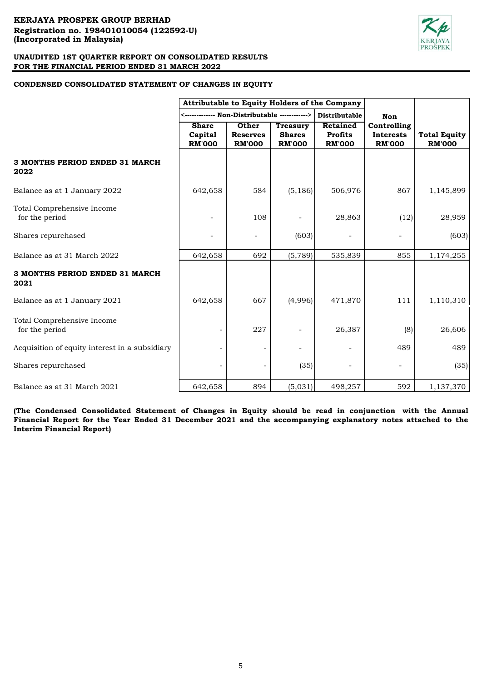

# **CONDENSED CONSOLIDATED STATEMENT OF CHANGES IN EQUITY**

|                                                | Attributable to Equity Holders of the Company |                                           |                                                   |                                             |                                                  |                                      |
|------------------------------------------------|-----------------------------------------------|-------------------------------------------|---------------------------------------------------|---------------------------------------------|--------------------------------------------------|--------------------------------------|
|                                                |                                               |                                           |                                                   | <b>Distributable</b>                        | Non                                              |                                      |
|                                                | <b>Share</b><br>Capital<br><b>RM'000</b>      | Other<br><b>Reserves</b><br><b>RM'000</b> | <b>Treasury</b><br><b>Shares</b><br><b>RM'000</b> | Retained<br><b>Profits</b><br><b>RM'000</b> | Controlling<br><b>Interests</b><br><b>RM'000</b> | <b>Total Equity</b><br><b>RM'000</b> |
| 3 MONTHS PERIOD ENDED 31 MARCH<br>2022         |                                               |                                           |                                                   |                                             |                                                  |                                      |
| Balance as at 1 January 2022                   | 642,658                                       | 584                                       | (5, 186)                                          | 506,976                                     | 867                                              | 1,145,899                            |
| Total Comprehensive Income<br>for the period   |                                               | 108                                       |                                                   | 28,863                                      | (12)                                             | 28,959                               |
| Shares repurchased                             |                                               |                                           | (603)                                             |                                             |                                                  | (603)                                |
| Balance as at 31 March 2022                    | 642,658                                       | 692                                       | (5,789)                                           | 535,839                                     | 855                                              | 1,174,255                            |
| 3 MONTHS PERIOD ENDED 31 MARCH<br>2021         |                                               |                                           |                                                   |                                             |                                                  |                                      |
| Balance as at 1 January 2021                   | 642,658                                       | 667                                       | (4,996)                                           | 471,870                                     | 111                                              | 1,110,310                            |
| Total Comprehensive Income<br>for the period   |                                               | 227                                       |                                                   | 26,387                                      | (8)                                              | 26,606                               |
| Acquisition of equity interest in a subsidiary |                                               |                                           |                                                   |                                             | 489                                              | 489                                  |
| Shares repurchased                             |                                               |                                           | (35)                                              |                                             |                                                  | (35)                                 |
| Balance as at 31 March 2021                    | 642,658                                       | 894                                       | (5,031)                                           | 498,257                                     | 592                                              | 1,137,370                            |

**(The Condensed Consolidated Statement of Changes in Equity should be read in conjunction with the Annual** Financial Report for the Year Ended 31 December 2021 and the accompanying explanatory notes attached to the **Interim Financial Report)**

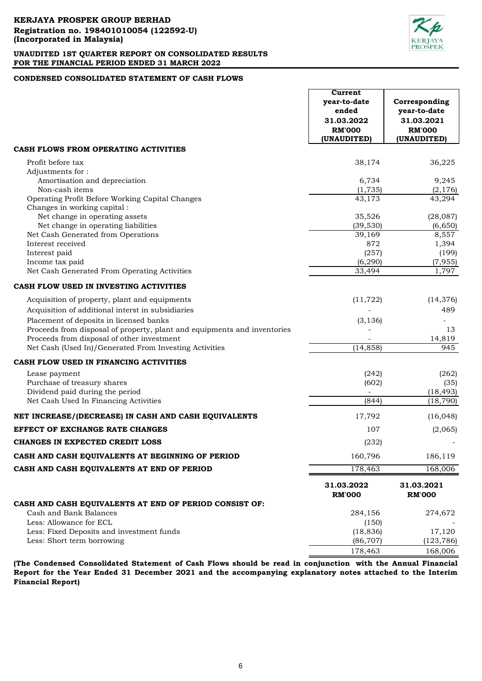

# **CONDENSED CONSOLIDATED STATEMENT OF CASH FLOWS**

|                                                                                                                        | Current<br>year-to-date<br>ended<br>31.03.2022<br><b>RM'000</b><br>(UNAUDITED) | Corresponding<br>year-to-date<br>31.03.2021<br><b>RM'000</b><br>(UNAUDITED) |
|------------------------------------------------------------------------------------------------------------------------|--------------------------------------------------------------------------------|-----------------------------------------------------------------------------|
| CASH FLOWS FROM OPERATING ACTIVITIES                                                                                   |                                                                                |                                                                             |
| Profit before tax                                                                                                      | 38,174                                                                         | 36,225                                                                      |
| Adjustments for:<br>Amortisation and depreciation                                                                      | 6,734                                                                          | 9,245                                                                       |
| Non-cash items                                                                                                         | (1, 735)                                                                       | (2, 176)                                                                    |
| Operating Profit Before Working Capital Changes                                                                        | 43,173                                                                         | 43,294                                                                      |
| Changes in working capital:                                                                                            |                                                                                |                                                                             |
| Net change in operating assets                                                                                         | 35,526                                                                         | (28,087)                                                                    |
| Net change in operating liabilities<br>Net Cash Generated from Operations                                              | (39, 530)<br>39,169                                                            | (6,650)<br>8,557                                                            |
| Interest received                                                                                                      | 872                                                                            | 1,394                                                                       |
| Interest paid                                                                                                          | (257)                                                                          | (199)                                                                       |
| Income tax paid                                                                                                        | (6, 290)                                                                       | (7, 955)                                                                    |
| Net Cash Generated From Operating Activities                                                                           | 33,494                                                                         | 1,797                                                                       |
| CASH FLOW USED IN INVESTING ACTIVITIES                                                                                 |                                                                                |                                                                             |
| Acquisition of property, plant and equipments                                                                          | (11, 722)                                                                      | (14, 376)                                                                   |
| Acquisition of additional interst in subsidiaries                                                                      |                                                                                | 489                                                                         |
| Placement of deposits in licensed banks                                                                                | (3, 136)                                                                       |                                                                             |
| Proceeds from disposal of property, plant and equipments and inventories<br>Proceeds from disposal of other investment |                                                                                | 13<br>14,819                                                                |
| Net Cash (Used In)/Generated From Investing Activities                                                                 | (14, 858)                                                                      | 945                                                                         |
| CASH FLOW USED IN FINANCING ACTIVITIES                                                                                 |                                                                                |                                                                             |
| Lease payment                                                                                                          | (242)                                                                          | (262)                                                                       |
| Purchase of treasury shares                                                                                            | (602)                                                                          | (35)                                                                        |
| Dividend paid during the period                                                                                        |                                                                                | (18, 493)                                                                   |
| Net Cash Used In Financing Activities                                                                                  | (844)                                                                          | (18, 790)                                                                   |
| NET INCREASE/(DECREASE) IN CASH AND CASH EQUIVALENTS                                                                   | 17,792                                                                         | (16, 048)                                                                   |
| <b>EFFECT OF EXCHANGE RATE CHANGES</b>                                                                                 | 107                                                                            | (2,065)                                                                     |
| <b>CHANGES IN EXPECTED CREDIT LOSS</b>                                                                                 | (232)                                                                          |                                                                             |
| CASH AND CASH EQUIVALENTS AT BEGINNING OF PERIOD                                                                       | 160,796                                                                        | 186,119                                                                     |
| CASH AND CASH EQUIVALENTS AT END OF PERIOD                                                                             | 178,463                                                                        | 168,006                                                                     |
|                                                                                                                        | 31.03.2022<br><b>RM'000</b>                                                    | 31.03.2021<br><b>RM'000</b>                                                 |
| CASH AND CASH EQUIVALENTS AT END OF PERIOD CONSIST OF:                                                                 |                                                                                |                                                                             |
| Cash and Bank Balances                                                                                                 | 284,156                                                                        | 274,672                                                                     |
| Less: Allowance for ECL<br>Less: Fixed Deposits and investment funds                                                   | (150)<br>(18, 836)                                                             | 17,120                                                                      |
| Less: Short term borrowing                                                                                             | (86, 707)                                                                      | (123, 786)                                                                  |
|                                                                                                                        | 178,463                                                                        | 168,006                                                                     |

**(The Condensed Consolidated Statement of Cash Flows should be read in conjunction with the Annual Financial Report for the Year Ended 31 December 2021 and the accompanying explanatory notes attached to the Interim Financial Report)**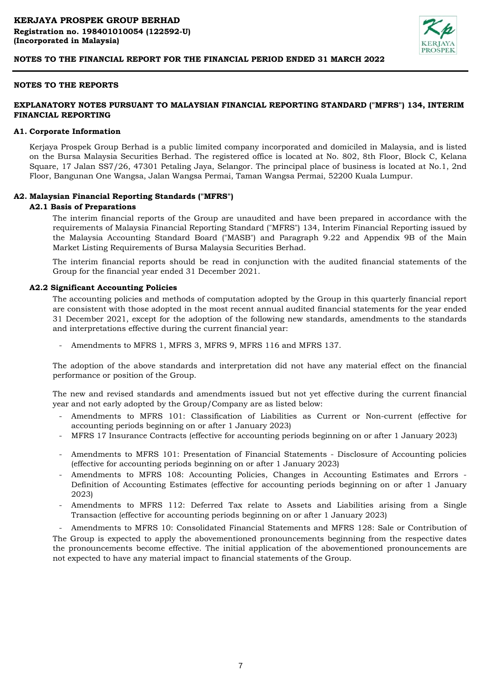

# **NOTES TO THE REPORTS**

# **EXPLANATORY NOTES PURSUANT TO MALAYSIAN FINANCIAL REPORTING STANDARD ("MFRS") 134, INTERIM FINANCIAL REPORTING**

#### **A1. Corporate Information**

Kerjaya Prospek Group Berhad is a public limited company incorporated and domiciled in Malaysia, and is listed on the Bursa Malaysia Securities Berhad. The registered office is located at No. 802, 8th Floor, Block C, Kelana Square, 17 Jalan SS7/26, 47301 Petaling Jaya, Selangor. The principal place of business is located at No.1, 2nd Floor, Bangunan One Wangsa, Jalan Wangsa Permai, Taman Wangsa Permai, 52200 Kuala Lumpur.

#### **A2. Malaysian Financial Reporting Standards ("MFRS")**

#### **A2.1 Basis of Preparations**

The interim financial reports of the Group are unaudited and have been prepared in accordance with the requirements of Malaysia Financial Reporting Standard ("MFRS") 134, Interim Financial Reporting issued by the Malaysia Accounting Standard Board ("MASB") and Paragraph 9.22 and Appendix 9B of the Main Market Listing Requirements of Bursa Malaysia Securities Berhad.

The interim financial reports should be read in conjunction with the audited financial statements of the Group for the financial year ended 31 December 2021.

#### **A2.2 Significant Accounting Policies**

The accounting policies and methods of computation adopted by the Group in this quarterly financial report are consistent with those adopted in the most recent annual audited financial statements for the year ended 31 December 2021, except for the adoption of the following new standards, amendments to the standards and interpretations effective during the current financial year:

- Amendments to MFRS 1, MFRS 3, MFRS 9, MFRS 116 and MFRS 137.

The adoption of the above standards and interpretation did not have any material effect on the financial performance or position of the Group.

The new and revised standards and amendments issued but not yet effective during the current financial year and not early adopted by the Group/Company are as listed below:

- Amendments to MFRS 101: Classification of Liabilities as Current or Non-current (effective for accounting periods beginning on or after 1 January 2023)
- MFRS 17 Insurance Contracts (effective for accounting periods beginning on or after 1 January 2023)
- Amendments to MFRS 101: Presentation of Financial Statements Disclosure of Accounting policies (effective for accounting periods beginning on or after 1 January 2023)
- Amendments to MFRS 108: Accounting Policies, Changes in Accounting Estimates and Errors Definition of Accounting Estimates (effective for accounting periods beginning on or after 1 January 2023)
- Amendments to MFRS 112: Deferred Tax relate to Assets and Liabilities arising from a Single Transaction (effective for accounting periods beginning on or after 1 January 2023)

- Amendments to MFRS 10: Consolidated Financial Statements and MFRS 128: Sale or Contribution of The Group is expected to apply the abovementioned pronouncements beginning from the respective dates the pronouncements become effective. The initial application of the abovementioned pronouncements are not expected to have any material impact to financial statements of the Group.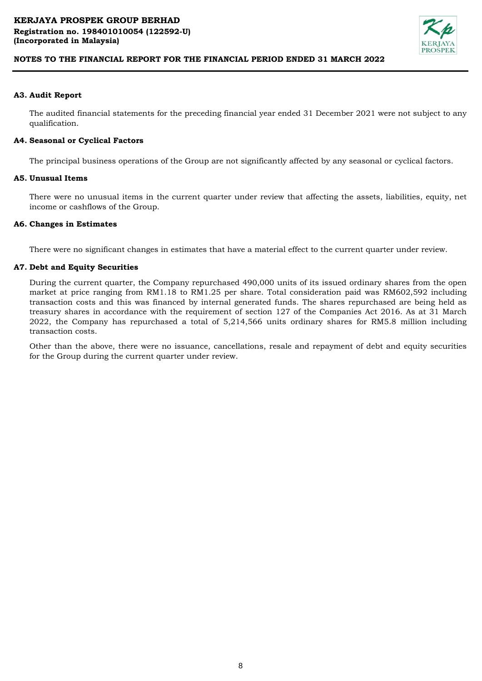

# **A3. Audit Report**

The audited financial statements for the preceding financial year ended 31 December 2021 were not subject to any qualification.

# **A4. Seasonal or Cyclical Factors**

The principal business operations of the Group are not significantly affected by any seasonal or cyclical factors.

## **A5. Unusual Items**

There were no unusual items in the current quarter under review that affecting the assets, liabilities, equity, net income or cashflows of the Group.

## **A6. Changes in Estimates**

There were no significant changes in estimates that have a material effect to the current quarter under review.

## **A7. Debt and Equity Securities**

During the current quarter, the Company repurchased 490,000 units of its issued ordinary shares from the open market at price ranging from RM1.18 to RM1.25 per share. Total consideration paid was RM602,592 including transaction costs and this was financed by internal generated funds. The shares repurchased are being held as treasury shares in accordance with the requirement of section 127 of the Companies Act 2016. As at 31 March 2022, the Company has repurchased a total of 5,214,566 units ordinary shares for RM5.8 million including transaction costs.

Other than the above, there were no issuance, cancellations, resale and repayment of debt and equity securities for the Group during the current quarter under review.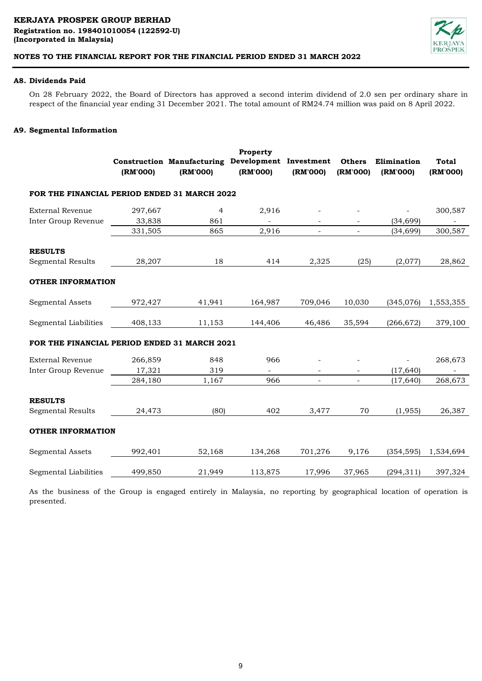

# **A8. Dividends Paid**

On 28 February 2022, the Board of Directors has approved a second interim dividend of 2.0 sen per ordinary share in respect of the financial year ending 31 December 2021. The total amount of RM24.74 million was paid on 8 April 2022.

# **A9. Segmental Information**

|                                              | (RM'000) | Construction Manufacturing Development Investment<br>(RM'000) | Property<br>(RM'000)     | (RM'000)                 | <b>Others</b><br>(RM'000) | Elimination<br>(RM'000) | <b>Total</b><br>(RM'000) |
|----------------------------------------------|----------|---------------------------------------------------------------|--------------------------|--------------------------|---------------------------|-------------------------|--------------------------|
| FOR THE FINANCIAL PERIOD ENDED 31 MARCH 2022 |          |                                                               |                          |                          |                           |                         |                          |
| <b>External Revenue</b>                      | 297,667  | 4                                                             | 2,916                    |                          |                           |                         | 300,587                  |
| Inter Group Revenue                          | 33,838   | 861                                                           | $\overline{\phantom{a}}$ |                          |                           | (34, 699)               |                          |
|                                              | 331,505  | 865                                                           | 2,916                    | $\overline{\phantom{a}}$ | $\overline{\phantom{a}}$  | (34, 699)               | 300,587                  |
| <b>RESULTS</b>                               |          |                                                               |                          |                          |                           |                         |                          |
| <b>Segmental Results</b>                     | 28,207   | 18                                                            | 414                      | 2,325                    | (25)                      | (2,077)                 | 28,862                   |
| <b>OTHER INFORMATION</b>                     |          |                                                               |                          |                          |                           |                         |                          |
| <b>Segmental Assets</b>                      | 972,427  | 41,941                                                        | 164,987                  | 709,046                  | 10,030                    | (345,076)               | 1,553,355                |
| Segmental Liabilities                        | 408,133  | 11,153                                                        | 144,406                  | 46,486                   | 35,594                    | (266, 672)              | 379,100                  |
| FOR THE FINANCIAL PERIOD ENDED 31 MARCH 2021 |          |                                                               |                          |                          |                           |                         |                          |
| <b>External Revenue</b>                      | 266,859  | 848                                                           | 966                      |                          |                           |                         | 268,673                  |
| Inter Group Revenue                          | 17,321   | 319                                                           | $\overline{\phantom{a}}$ | $\overline{\phantom{a}}$ |                           | (17, 640)               | $\overline{\phantom{0}}$ |
|                                              | 284,180  | 1,167                                                         | 966                      | $\overline{a}$           | $\overline{\phantom{a}}$  | (17, 640)               | 268,673                  |
| <b>RESULTS</b>                               |          |                                                               |                          |                          |                           |                         |                          |
| <b>Segmental Results</b>                     | 24,473   | (80)                                                          | 402                      | 3,477                    | 70                        | (1, 955)                | 26,387                   |
| <b>OTHER INFORMATION</b>                     |          |                                                               |                          |                          |                           |                         |                          |
| <b>Segmental Assets</b>                      | 992,401  | 52,168                                                        | 134,268                  | 701,276                  | 9,176                     | (354, 595)              | 1,534,694                |
| Segmental Liabilities                        | 499,850  | 21,949                                                        | 113,875                  | 17,996                   | 37,965                    | (294, 311)              | 397,324                  |

As the business of the Group is engaged entirely in Malaysia, no reporting by geographical location of operation is presented.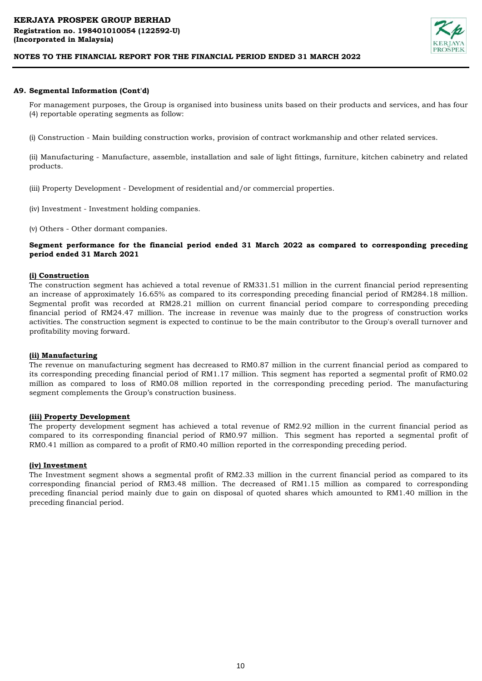

## **A9. Segmental Information (Cont'd)**

For management purposes, the Group is organised into business units based on their products and services, and has four (4) reportable operating segments as follow:

(i) Construction - Main building construction works, provision of contract workmanship and other related services.

(ii) Manufacturing - Manufacture, assemble, installation and sale of light fittings, furniture, kitchen cabinetry and related products.

(iii) Property Development - Development of residential and/or commercial properties.

- (iv) Investment Investment holding companies.
- (v) Others Other dormant companies.

# **Segment performance for the financial period ended 31 March 2022 as compared to corresponding preceding period ended 31 March 2021**

## **(i) Construction**

The construction segment has achieved a total revenue of RM331.51 million in the current financial period representing an increase of approximately 16.65% as compared to its corresponding preceding financial period of RM284.18 million. Segmental profit was recorded at RM28.21 million on current financial period compare to corresponding preceding financial period of RM24.47 million. The increase in revenue was mainly due to the progress of construction works activities. The construction segment is expected to continue to be the main contributor to the Group's overall turnover and profitability moving forward.

#### **(ii) Manufacturing**

The revenue on manufacturing segment has decreased to RM0.87 million in the current financial period as compared to its corresponding preceding financial period of RM1.17 million. This segment has reported a segmental profit of RM0.02 million as compared to loss of RM0.08 million reported in the corresponding preceding period. The manufacturing segment complements the Group's construction business.

#### **(iii) Property Development**

The property development segment has achieved a total revenue of RM2.92 million in the current financial period as compared to its corresponding financial period of RM0.97 million. This segment has reported a segmental profit of RM0.41 million as compared to a profit of RM0.40 million reported in the corresponding preceding period.

#### **(iv) Investment**

The Investment segment shows a segmental profit of RM2.33 million in the current financial period as compared to its corresponding financial period of RM3.48 million. The decreased of RM1.15 million as compared to corresponding preceding financial period mainly due to gain on disposal of quoted shares which amounted to RM1.40 million in the preceding financial period.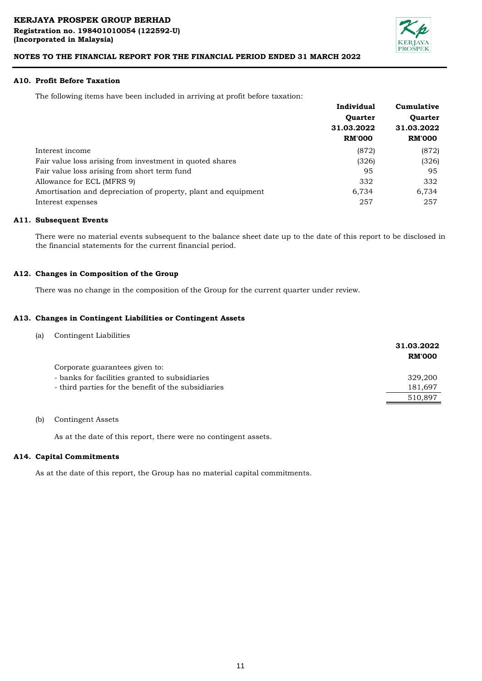

## **A10. Profit Before Taxation**

The following items have been included in arriving at profit before taxation:

|                                                                | Individual     | Cumulative<br><b>Ouarter</b> |  |
|----------------------------------------------------------------|----------------|------------------------------|--|
|                                                                | <b>Ouarter</b> |                              |  |
|                                                                | 31.03.2022     | 31.03.2022                   |  |
|                                                                | <b>RM'000</b>  | <b>RM'000</b>                |  |
| Interest income                                                | (872)          | (872)                        |  |
| Fair value loss arising from investment in quoted shares       | (326)          | (326)                        |  |
| Fair value loss arising from short term fund                   | 95             | 95                           |  |
| Allowance for ECL (MFRS 9)                                     | 332            | 332                          |  |
| Amortisation and depreciation of property, plant and equipment | 6.734          | 6,734                        |  |
| Interest expenses                                              | 257            | 257                          |  |

### **A11. Subsequent Events**

There were no material events subsequent to the balance sheet date up to the date of this report to be disclosed in the financial statements for the current financial period.

#### **A12. Changes in Composition of the Group**

There was no change in the composition of the Group for the current quarter under review.

#### **A13. Changes in Contingent Liabilities or Contingent Assets**

| (a) | Contingent Liabilities                              |               |
|-----|-----------------------------------------------------|---------------|
|     |                                                     | 31.03.2022    |
|     |                                                     | <b>RM'000</b> |
|     | Corporate guarantees given to:                      |               |
|     | - banks for facilities granted to subsidiaries      | 329,200       |
|     | - third parties for the benefit of the subsidiaries | 181,697       |
|     |                                                     | 510,897       |
|     |                                                     |               |

## (b) Contingent Assets

As at the date of this report, there were no contingent assets.

#### **A14. Capital Commitments**

As at the date of this report, the Group has no material capital commitments.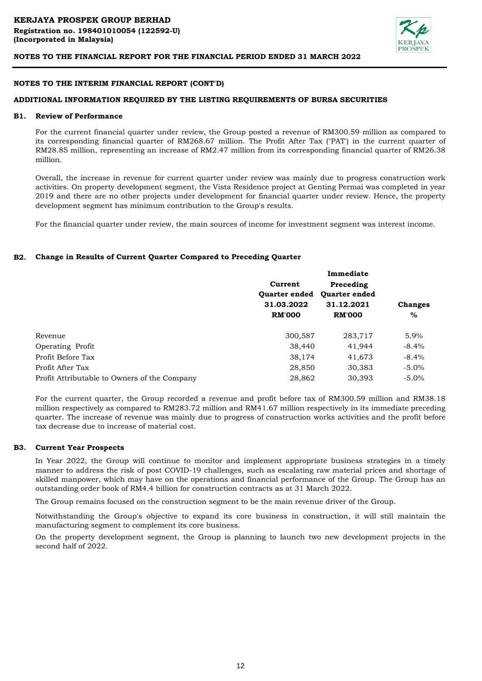

#### **NOTES TO THE INTERIM FINANCIAL REPORT (CONT'D)**

#### **ADDITIONAL INFORMATION REQUIRED BY THE LISTING REQUIREMENTS OF BURSA SECURITIES**

#### **B1. Review of Performance**

For the current financial quarter under review, the Group posted a revenue of RM300.59 million as compared to its corresponding financial quarter of RM268.67 million. The Profit After Tax ("PAT') in the current quarter of RM28.85 million, representing an increase of RM2.47 million from its corresponding financial quarter of RM26.38 million.

Overall, the increase in revenue for current quarter under review was mainly due to progress construction work activities. On property development segment, the Vista Residence project at Genting Permai was completed in year 2019 and there are no other projects under development for financial quarter under review. Hence, the property development segment has minimum contribution to the Group's results.

For the financial quarter under review, the main sources of income for investment segment was interest income.

### **B2. Change in Results of Current Quarter Compared to Preceding Quarter**

|                                              |                      | Immediate            |                |
|----------------------------------------------|----------------------|----------------------|----------------|
|                                              | Current              | Preceding            |                |
|                                              | <b>Ouarter ended</b> | <b>Ouarter ended</b> |                |
|                                              | 31.03.2022           | 31.12.2021           | <b>Changes</b> |
|                                              | <b>RM'000</b>        | <b>RM'000</b>        | $\%$           |
| Revenue                                      | 300,587              | 283,717              | 5.9%           |
| <b>Operating Profit</b>                      | 38,440               | 41,944               | $-8.4\%$       |
| Profit Before Tax                            | 38,174               | 41,673               | $-8.4\%$       |
| Profit After Tax                             | 28,850               | 30,383               | $-5.0\%$       |
| Profit Attributable to Owners of the Company | 28,862               | 30,393               | $-5.0\%$       |

For the current quarter, the Group recorded a revenue and profit before tax of RM300.59 million and RM38.18 million respectively as compared to RM283.72 million and RM41.67 million respectively in its immediate preceding quarter. The increase of revenue was mainly due to progress of construction works activities and the profit before tax decrease due to increase of material cost.

#### **B3. Current Year Prospects**

In Year 2022, the Group will continue to monitor and implement appropriate business strategies in a timely manner to address the risk of post COVID-19 challenges, such as escalating raw material prices and shortage of skilled manpower, which may have on the operations and financial performance of the Group. The Group has an outstanding order book of RM4.4 billion for construction contracts as at 31 March 2022.

The Group remains focused on the construction segment to be the main revenue driver of the Group.

Notwithstanding the Group's objective to expand its core business in construction, it will still maintain the manufacturing segment to complement its core business.

On the property development segment, the Group is planning to launch two new development projects in the second half of 2022.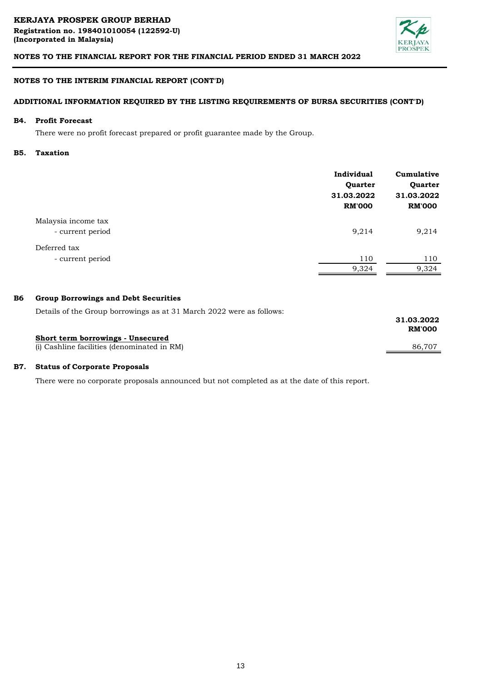

# **NOTES TO THE INTERIM FINANCIAL REPORT (CONT'D)**

# **ADDITIONAL INFORMATION REQUIRED BY THE LISTING REQUIREMENTS OF BURSA SECURITIES (CONT'D)**

#### **B4. Profit Forecast**

There were no profit forecast prepared or profit guarantee made by the Group.

#### **B5. Taxation**

|                                         | Individual<br>Quarter<br>31.03.2022<br><b>RM'000</b> | Cumulative<br>Quarter<br>31.03.2022<br><b>RM'000</b> |
|-----------------------------------------|------------------------------------------------------|------------------------------------------------------|
| Malaysia income tax<br>- current period | 9,214                                                | 9,214                                                |
| Deferred tax<br>- current period        | 110<br>9,324                                         | 110<br>9,324                                         |

#### **B6 Group Borrowings and Debt Securities**

Details of the Group borrowings as at 31 March 2022 were as follows:

|                                             | 31.03.2022<br><b>RM'000</b> |
|---------------------------------------------|-----------------------------|
| Short term borrowings - Unsecured           |                             |
| (i) Cashline facilities (denominated in RM) | 86.707                      |
|                                             |                             |

#### **B7. Status of Corporate Proposals**

There were no corporate proposals announced but not completed as at the date of this report.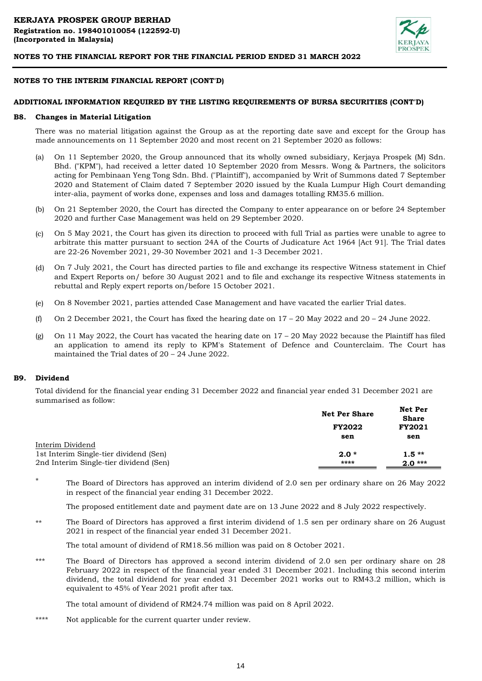

#### **NOTES TO THE INTERIM FINANCIAL REPORT (CONT'D)**

#### **ADDITIONAL INFORMATION REQUIRED BY THE LISTING REQUIREMENTS OF BURSA SECURITIES (CONT'D)**

#### **B8. Changes in Material Litigation**

There was no material litigation against the Group as at the reporting date save and except for the Group has made announcements on 11 September 2020 and most recent on 21 September 2020 as follows:

- (a) On 11 September 2020, the Group announced that its wholly owned subsidiary, Kerjaya Prospek (M) Sdn. Bhd. ("KPM"), had received a letter dated 10 September 2020 from Messrs. Wong & Partners, the solicitors acting for Pembinaan Yeng Tong Sdn. Bhd. ("Plaintiff"), accompanied by Writ of Summons dated 7 September 2020 and Statement of Claim dated 7 September 2020 issued by the Kuala Lumpur High Court demanding inter-alia, payment of works done, expenses and loss and damages totalling RM35.6 million.
- (b) On 21 September 2020, the Court has directed the Company to enter appearance on or before 24 September 2020 and further Case Management was held on 29 September 2020.
- $(c)$ On 5 May 2021, the Court has given its direction to proceed with full Trial as parties were unable to agree to arbitrate this matter pursuant to section 24A of the Courts of Judicature Act 1964 [Act 91]. The Trial dates are 22-26 November 2021, 29-30 November 2021 and 1-3 December 2021.
- (d) On 7 July 2021, the Court has directed parties to file and exchange its respective Witness statement in Chief and Expert Reports on/ before 30 August 2021 and to file and exchange its respective Witness statements in rebuttal and Reply expert reports on/before 15 October 2021.
- (e) On 8 November 2021, parties attended Case Management and have vacated the earlier Trial dates.
- (f) On 2 December 2021, the Court has fixed the hearing date on  $17 - 20$  May 2022 and  $20 - 24$  June 2022.
- (g) On 11 May 2022, the Court has vacated the hearing date on 17 – 20 May 2022 because the Plaintiff has filed an application to amend its reply to KPM's Statement of Defence and Counterclaim. The Court has maintained the Trial dates of 20 – 24 June 2022.

#### **B9. Dividend**

\*

Total dividend for the financial year ending 31 December 2022 and financial year ended 31 December 2021 are summarised as follow:

|                                        | <b>Net Per Share</b><br><b>FY2022</b> |          |
|----------------------------------------|---------------------------------------|----------|
|                                        |                                       |          |
|                                        | sen                                   | sen      |
| Interim Dividend                       |                                       |          |
| 1st Interim Single-tier dividend (Sen) | $2.0*$                                | $1.5**$  |
| 2nd Interim Single-tier dividend (Sen) | ****                                  | $2.0***$ |

The Board of Directors has approved an interim dividend of 2.0 sen per ordinary share on 26 May 2022 in respect of the financial year ending 31 December 2022.

The proposed entitlement date and payment date are on 13 June 2022 and 8 July 2022 respectively.

\*\* The Board of Directors has approved a first interim dividend of 1.5 sen per ordinary share on 26 August 2021 in respect of the financial year ended 31 December 2021.

The total amount of dividend of RM18.56 million was paid on 8 October 2021.

\*\*\* The Board of Directors has approved a second interim dividend of 2.0 sen per ordinary share on 28 February 2022 in respect of the financial year ended 31 December 2021. Including this second interim dividend, the total dividend for year ended 31 December 2021 works out to RM43.2 million, which is equivalent to 45% of Year 2021 profit after tax.

The total amount of dividend of RM24.74 million was paid on 8 April 2022.

\*\*\*\* Not applicable for the current quarter under review.